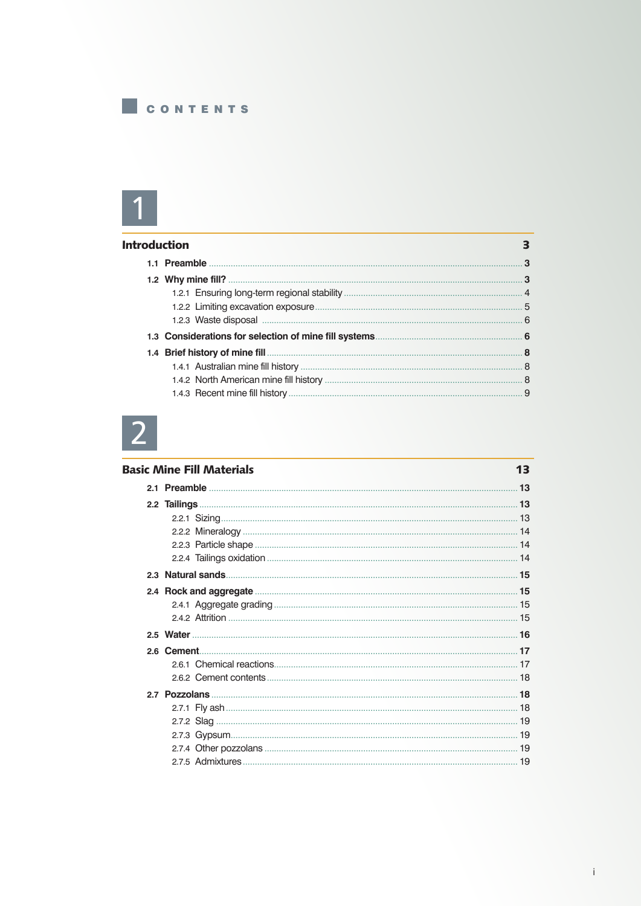### CONTENTS

## $\overline{1}$

| <b>Introduction</b> |  |
|---------------------|--|
|                     |  |
|                     |  |
|                     |  |
|                     |  |
|                     |  |
|                     |  |
|                     |  |
|                     |  |
|                     |  |
|                     |  |

# $\boxed{2}$

| <b>Basic Mine Fill Materials</b> | 13 |
|----------------------------------|----|
|                                  |    |
|                                  |    |
|                                  |    |
|                                  |    |
|                                  |    |
|                                  |    |
|                                  |    |
|                                  |    |
|                                  |    |
|                                  |    |
|                                  |    |
|                                  |    |
|                                  |    |
|                                  |    |
|                                  |    |
|                                  |    |
|                                  |    |
|                                  |    |
|                                  |    |
|                                  |    |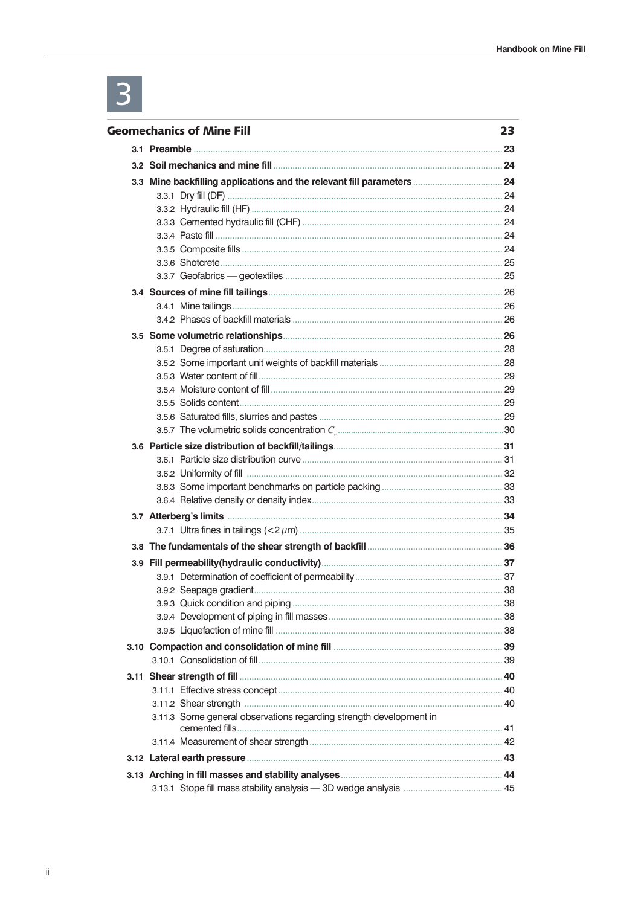## 3

| <b>Geomechanics of Mine Fill</b>                                   | 23 |
|--------------------------------------------------------------------|----|
|                                                                    |    |
|                                                                    |    |
|                                                                    |    |
|                                                                    |    |
|                                                                    |    |
|                                                                    |    |
|                                                                    |    |
|                                                                    |    |
|                                                                    |    |
|                                                                    |    |
|                                                                    |    |
|                                                                    |    |
|                                                                    |    |
|                                                                    |    |
|                                                                    |    |
|                                                                    |    |
|                                                                    |    |
|                                                                    |    |
|                                                                    |    |
|                                                                    |    |
|                                                                    |    |
|                                                                    |    |
|                                                                    |    |
|                                                                    |    |
|                                                                    |    |
|                                                                    |    |
|                                                                    |    |
|                                                                    |    |
|                                                                    |    |
|                                                                    |    |
|                                                                    |    |
|                                                                    |    |
|                                                                    |    |
|                                                                    |    |
|                                                                    |    |
|                                                                    |    |
|                                                                    |    |
|                                                                    |    |
|                                                                    |    |
| 3.11.3 Some general observations regarding strength development in |    |
|                                                                    |    |
|                                                                    |    |
|                                                                    |    |
|                                                                    |    |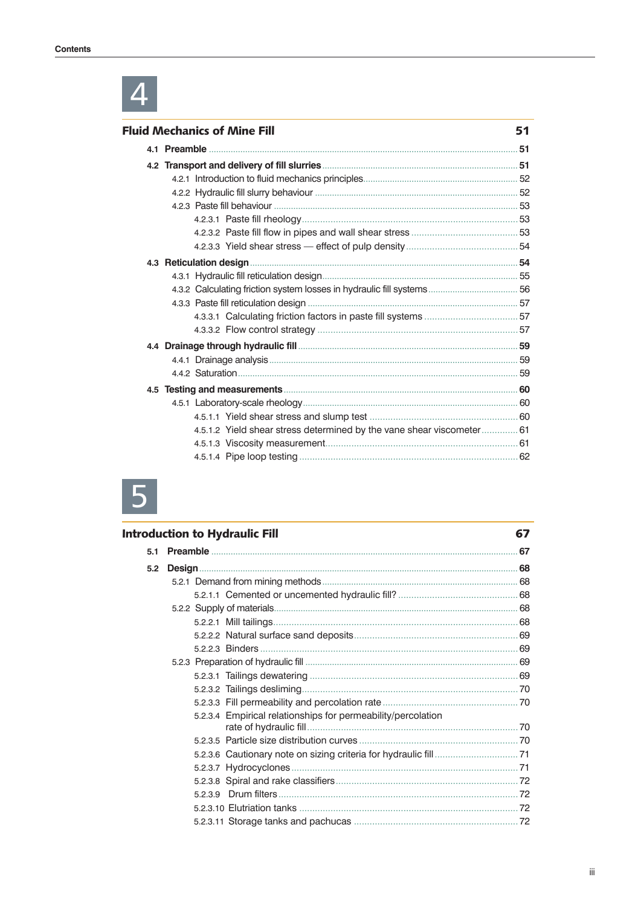| <b>Fluid Mechanics of Mine Fill</b>                                   |  |  |
|-----------------------------------------------------------------------|--|--|
|                                                                       |  |  |
|                                                                       |  |  |
|                                                                       |  |  |
|                                                                       |  |  |
|                                                                       |  |  |
|                                                                       |  |  |
|                                                                       |  |  |
|                                                                       |  |  |
|                                                                       |  |  |
|                                                                       |  |  |
|                                                                       |  |  |
|                                                                       |  |  |
|                                                                       |  |  |
|                                                                       |  |  |
|                                                                       |  |  |
|                                                                       |  |  |
|                                                                       |  |  |
|                                                                       |  |  |
|                                                                       |  |  |
|                                                                       |  |  |
| 4.5.1.2 Yield shear stress determined by the vane shear viscometer 61 |  |  |
|                                                                       |  |  |
|                                                                       |  |  |



### **Introduction to Hydraulic Fill** 67 5.2.3.4 Empirical relationships for permeability/percolation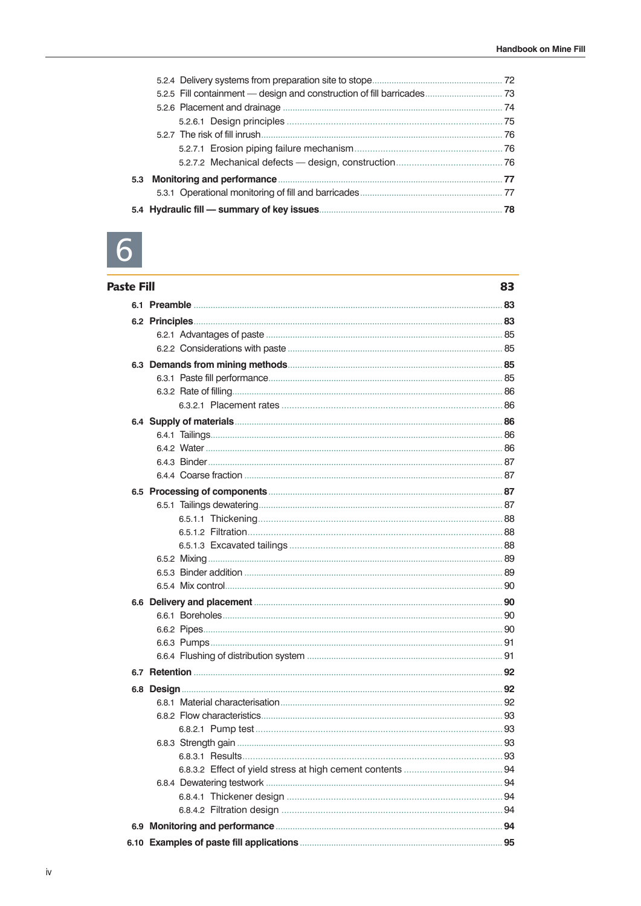

| <b>Paste Fill</b><br>83 |  |  |
|-------------------------|--|--|
|                         |  |  |
|                         |  |  |
|                         |  |  |
|                         |  |  |
|                         |  |  |
|                         |  |  |
|                         |  |  |
|                         |  |  |
|                         |  |  |
|                         |  |  |
|                         |  |  |
|                         |  |  |
|                         |  |  |
|                         |  |  |
|                         |  |  |
|                         |  |  |
|                         |  |  |
|                         |  |  |
|                         |  |  |
|                         |  |  |
|                         |  |  |
|                         |  |  |
|                         |  |  |
|                         |  |  |
|                         |  |  |
|                         |  |  |
|                         |  |  |
|                         |  |  |
|                         |  |  |
|                         |  |  |
|                         |  |  |
|                         |  |  |
|                         |  |  |
|                         |  |  |
|                         |  |  |
|                         |  |  |
|                         |  |  |
|                         |  |  |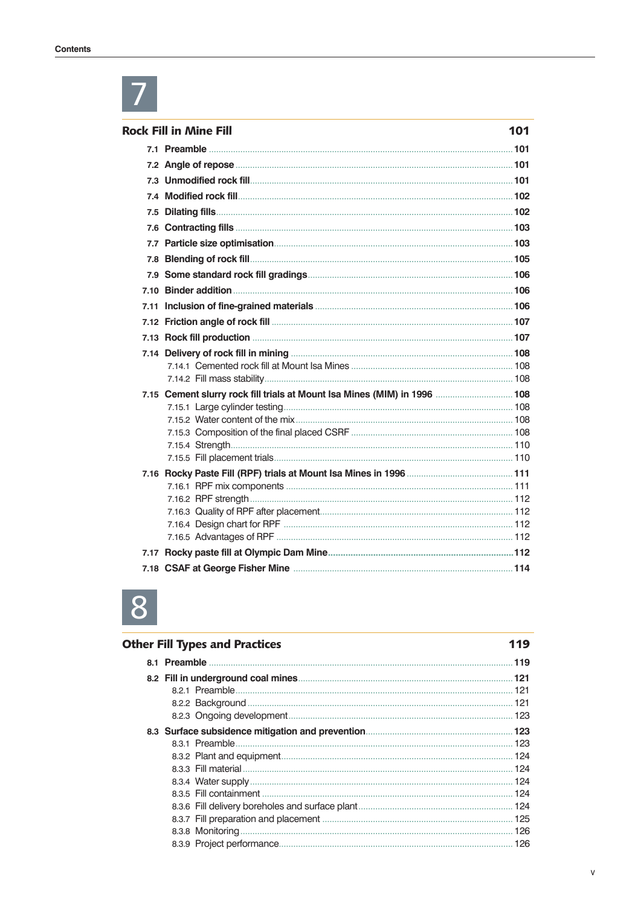# 7

| <b>Rock Fill in Mine Fill</b>                                             | 101 |
|---------------------------------------------------------------------------|-----|
|                                                                           |     |
|                                                                           |     |
|                                                                           |     |
|                                                                           |     |
|                                                                           |     |
|                                                                           |     |
|                                                                           |     |
|                                                                           |     |
|                                                                           |     |
|                                                                           |     |
|                                                                           |     |
|                                                                           |     |
|                                                                           |     |
|                                                                           |     |
|                                                                           |     |
|                                                                           |     |
| 7.15 Cement slurry rock fill trials at Mount Isa Mines (MIM) in 1996  108 |     |
|                                                                           |     |
|                                                                           |     |
|                                                                           |     |
|                                                                           |     |
|                                                                           |     |
|                                                                           |     |
|                                                                           |     |
|                                                                           |     |
|                                                                           |     |
|                                                                           |     |
|                                                                           |     |
|                                                                           |     |



|  | <b>Other Fill Types and Practices</b> | 119 |
|--|---------------------------------------|-----|
|  |                                       |     |
|  |                                       |     |
|  |                                       |     |
|  |                                       |     |
|  |                                       |     |
|  |                                       |     |
|  |                                       |     |
|  |                                       |     |
|  |                                       |     |
|  |                                       |     |
|  |                                       |     |
|  |                                       |     |
|  |                                       |     |
|  |                                       |     |
|  |                                       |     |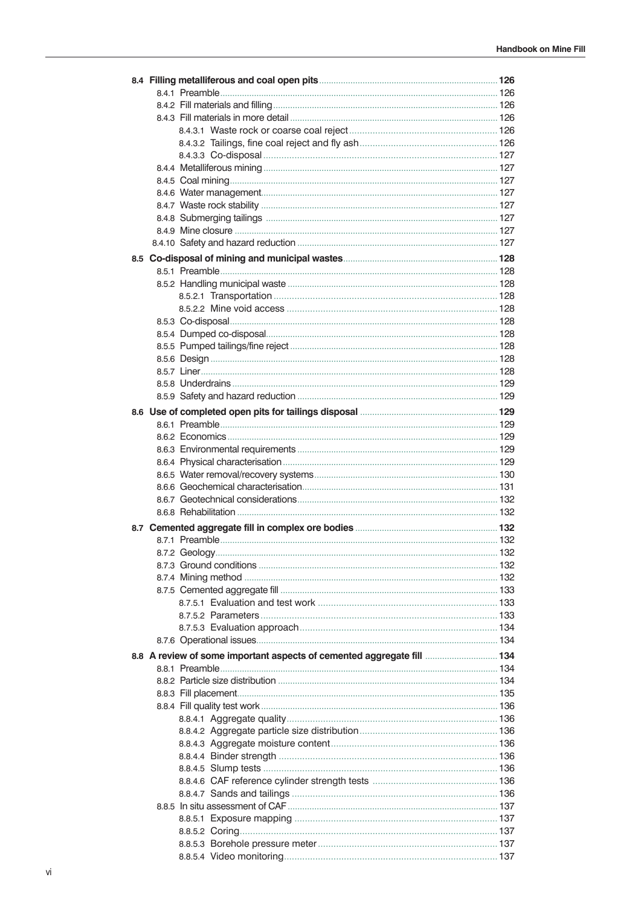|  | 8.8 A review of some important aspects of cemented aggregate fill  134 |  |
|--|------------------------------------------------------------------------|--|
|  |                                                                        |  |
|  |                                                                        |  |
|  |                                                                        |  |
|  |                                                                        |  |
|  |                                                                        |  |
|  |                                                                        |  |
|  |                                                                        |  |
|  |                                                                        |  |
|  |                                                                        |  |
|  |                                                                        |  |
|  |                                                                        |  |
|  |                                                                        |  |
|  |                                                                        |  |
|  |                                                                        |  |
|  |                                                                        |  |